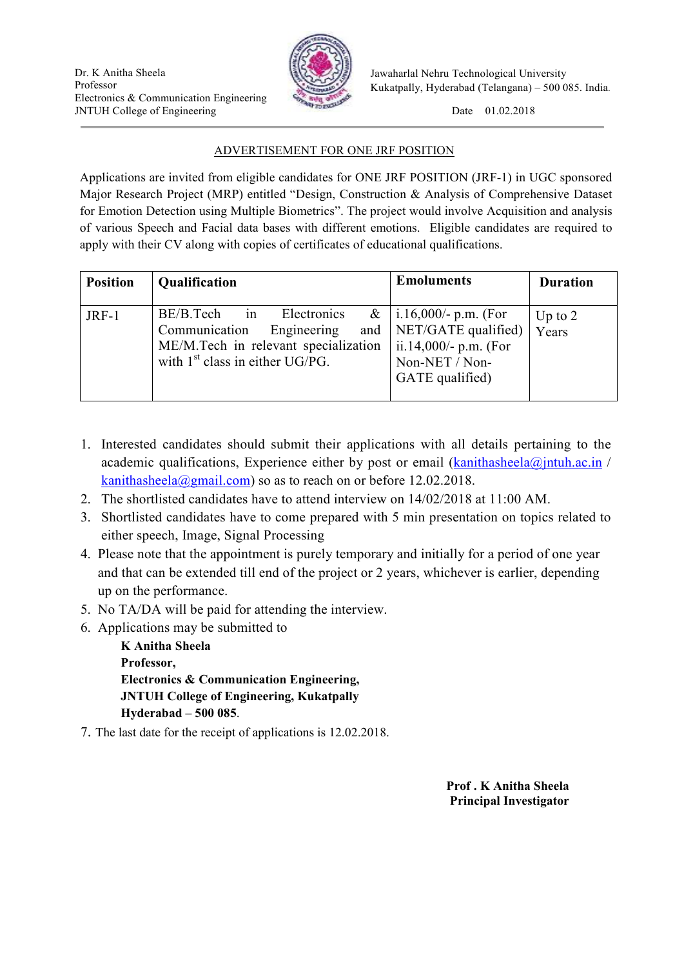

Jawaharlal Nehru Technological University Kukatpally, Hyderabad (Telangana) – 500 085. India.

## ADVERTISEMENT FOR ONE JRF POSITION

Applications are invited from eligible candidates for ONE JRF POSITION (JRF-1) in UGC sponsored Major Research Project (MRP) entitled "Design, Construction & Analysis of Comprehensive Dataset for Emotion Detection using Multiple Biometrics". The project would involve Acquisition and analysis of various Speech and Facial data bases with different emotions. Eligible candidates are required to apply with their CV along with copies of certificates of educational qualifications.

| <b>Position</b> | Qualification                                                                                                                                      | <b>Emoluments</b>                                                                                             | <b>Duration</b>    |
|-----------------|----------------------------------------------------------------------------------------------------------------------------------------------------|---------------------------------------------------------------------------------------------------------------|--------------------|
| $JRF-1$         | BE/B.Tech<br>Electronics<br>in<br>Communication<br>Engineering<br>and<br>ME/M.Tech in relevant specialization<br>with $1st$ class in either UG/PG. | &   i.16,000/- p.m. (For<br>NET/GATE qualified)<br>ii.14,000/- p.m. (For<br>Non-NET / Non-<br>GATE qualified) | Up to $2$<br>Years |

- 1. Interested candidates should submit their applications with all details pertaining to the academic qualifications, Experience either by post or email  $(kanithasheela@jntuh.ac.in/$ kanithasheela@gmail.com) so as to reach on or before  $12.02.2018$ .
- 2. The shortlisted candidates have to attend interview on 14/02/2018 at 11:00 AM.
- 3. Shortlisted candidates have to come prepared with 5 min presentation on topics related to either speech, Image, Signal Processing
- 4. Please note that the appointment is purely temporary and initially for a period of one year and that can be extended till end of the project or 2 years, whichever is earlier, depending up on the performance.
- 5. No TA/DA will be paid for attending the interview.
- 6. Applications may be submitted to

**K Anitha Sheela Professor, Electronics & Communication Engineering, JNTUH College of Engineering, Kukatpally Hyderabad – 500 085**.

7. The last date for the receipt of applications is 12.02.2018.

**Prof . K Anitha Sheela Principal Investigator**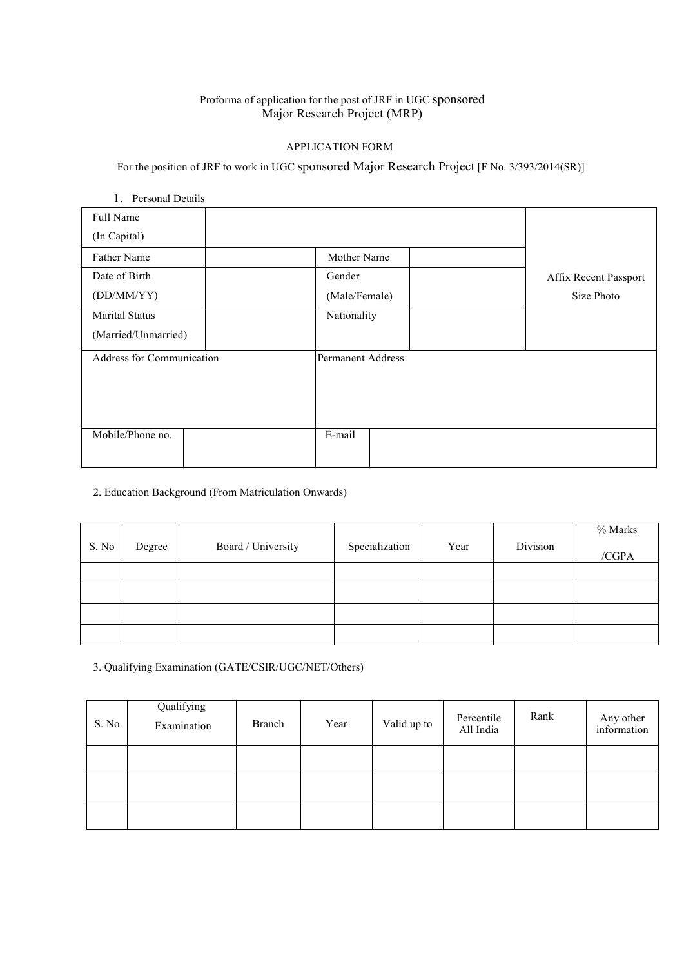## Proforma of application for the post of JRF in UGC sponsored Major Research Project (MRP)

### APPLICATION FORM

For the position of JRF to work in UGC sponsored Major Research Project [F No. 3/393/2014(SR)]

# 1. Personal Details Full Name (In Capital) Father Name Mother Name Mother Name Date of Birth (DD/MM/YY) Marital Status (Married/Unmarried) Gender (Male/Female) Nationality Affix Recent Passport Size Photo Address for Communication Permanent Address Mobile/Phone no. E-mail

### 2. Education Background (From Matriculation Onwards)

|       |        |                    |                |      |          | % Marks |
|-------|--------|--------------------|----------------|------|----------|---------|
| S. No | Degree | Board / University | Specialization | Year | Division | /CGPA   |
|       |        |                    |                |      |          |         |
|       |        |                    |                |      |          |         |
|       |        |                    |                |      |          |         |
|       |        |                    |                |      |          |         |

3. Qualifying Examination (GATE/CSIR/UGC/NET/Others)

| S. No | Qualifying<br>Examination | Branch | Year | Valid up to | Percentile<br>All India | Rank | Any other<br>information |
|-------|---------------------------|--------|------|-------------|-------------------------|------|--------------------------|
|       |                           |        |      |             |                         |      |                          |
|       |                           |        |      |             |                         |      |                          |
|       |                           |        |      |             |                         |      |                          |